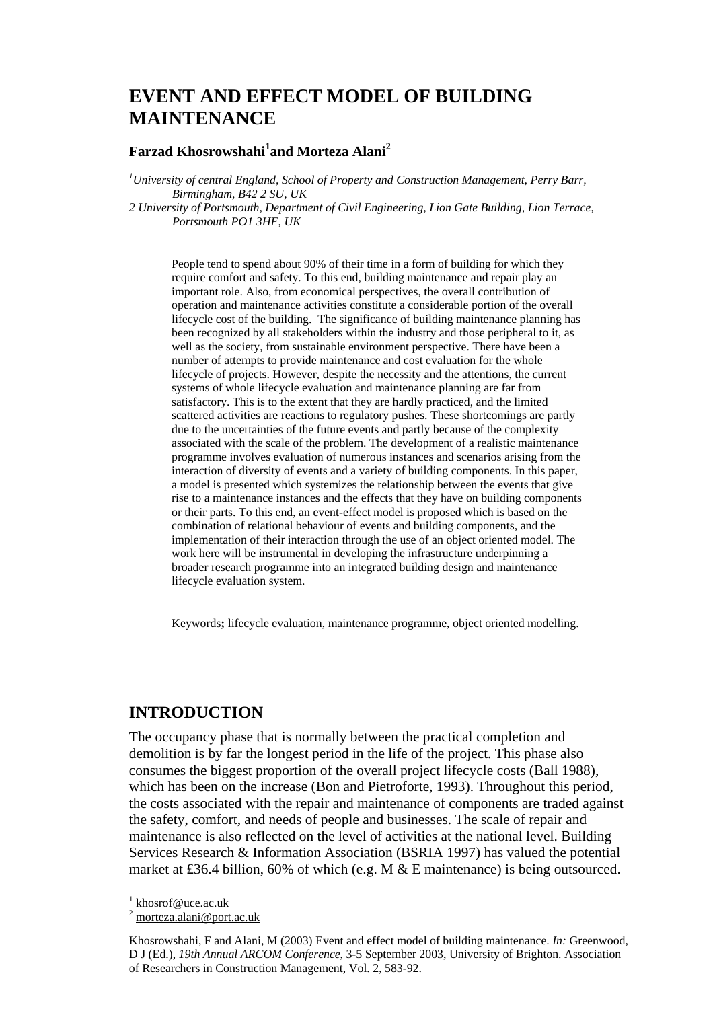# **EVENT AND EFFECT MODEL OF BUILDING MAINTENANCE**

#### **Farzad Khosrowshahi<sup>1</sup> and Morteza Alani<sup>2</sup>**

*1 University of central England, School of Property and Construction Management, Perry Barr, Birmingham, B42 2 SU, UK* 

*2 University of Portsmouth, Department of Civil Engineering, Lion Gate Building, Lion Terrace, Portsmouth PO1 3HF, UK* 

People tend to spend about 90% of their time in a form of building for which they require comfort and safety. To this end, building maintenance and repair play an important role. Also, from economical perspectives, the overall contribution of operation and maintenance activities constitute a considerable portion of the overall lifecycle cost of the building. The significance of building maintenance planning has been recognized by all stakeholders within the industry and those peripheral to it, as well as the society, from sustainable environment perspective. There have been a number of attempts to provide maintenance and cost evaluation for the whole lifecycle of projects. However, despite the necessity and the attentions, the current systems of whole lifecycle evaluation and maintenance planning are far from satisfactory. This is to the extent that they are hardly practiced, and the limited scattered activities are reactions to regulatory pushes. These shortcomings are partly due to the uncertainties of the future events and partly because of the complexity associated with the scale of the problem. The development of a realistic maintenance programme involves evaluation of numerous instances and scenarios arising from the interaction of diversity of events and a variety of building components. In this paper, a model is presented which systemizes the relationship between the events that give rise to a maintenance instances and the effects that they have on building components or their parts. To this end, an event-effect model is proposed which is based on the combination of relational behaviour of events and building components, and the implementation of their interaction through the use of an object oriented model. The work here will be instrumental in developing the infrastructure underpinning a broader research programme into an integrated building design and maintenance lifecycle evaluation system.

Keywords**;** lifecycle evaluation, maintenance programme, object oriented modelling.

#### **INTRODUCTION**

The occupancy phase that is normally between the practical completion and demolition is by far the longest period in the life of the project. This phase also consumes the biggest proportion of the overall project lifecycle costs (Ball 1988), which has been on the increase (Bon and Pietroforte, 1993). Throughout this period, the costs associated with the repair and maintenance of components are traded against the safety, comfort, and needs of people and businesses. The scale of repair and maintenance is also reflected on the level of activities at the national level. Building Services Research & Information Association (BSRIA 1997) has valued the potential market at £36.4 billion, 60% of which (e.g. M & E maintenance) is being outsourced.

l

<sup>1</sup> khosrof@uce.ac.uk

<sup>&</sup>lt;sup>2</sup> morteza.alani@port.ac.uk

Khosrowshahi, F and Alani, M (2003) Event and effect model of building maintenance. *In:* Greenwood, D J (Ed.), *19th Annual ARCOM Conference*, 3-5 September 2003, University of Brighton. Association of Researchers in Construction Management, Vol. 2, 583-92.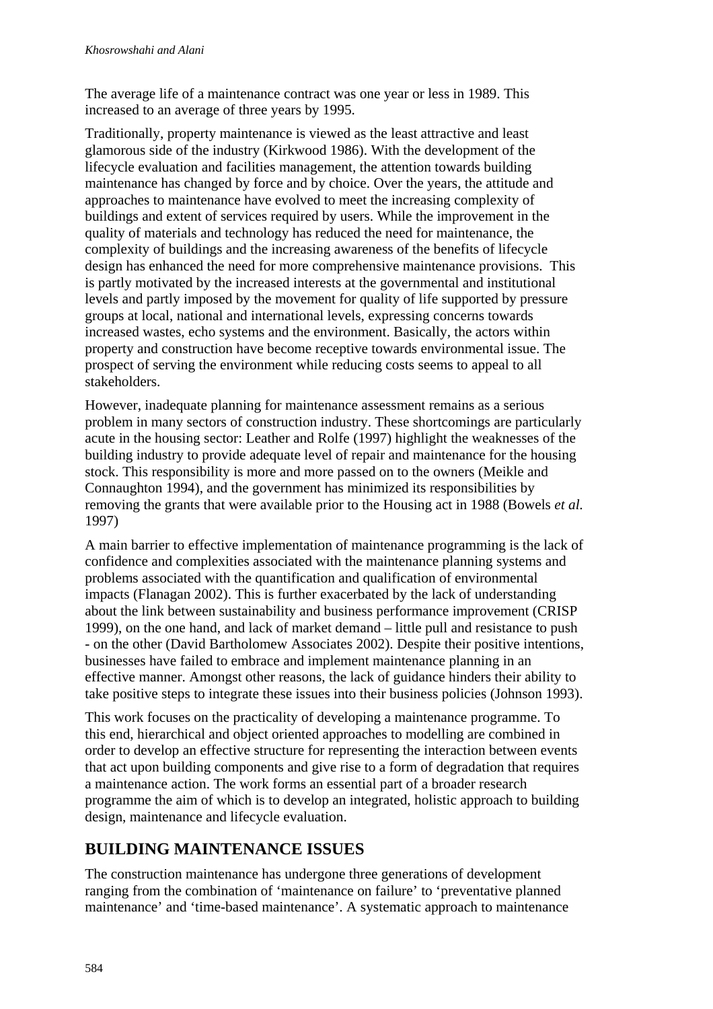The average life of a maintenance contract was one year or less in 1989. This increased to an average of three years by 1995.

Traditionally, property maintenance is viewed as the least attractive and least glamorous side of the industry (Kirkwood 1986). With the development of the lifecycle evaluation and facilities management, the attention towards building maintenance has changed by force and by choice. Over the years, the attitude and approaches to maintenance have evolved to meet the increasing complexity of buildings and extent of services required by users. While the improvement in the quality of materials and technology has reduced the need for maintenance, the complexity of buildings and the increasing awareness of the benefits of lifecycle design has enhanced the need for more comprehensive maintenance provisions. This is partly motivated by the increased interests at the governmental and institutional levels and partly imposed by the movement for quality of life supported by pressure groups at local, national and international levels, expressing concerns towards increased wastes, echo systems and the environment. Basically, the actors within property and construction have become receptive towards environmental issue. The prospect of serving the environment while reducing costs seems to appeal to all stakeholders.

However, inadequate planning for maintenance assessment remains as a serious problem in many sectors of construction industry. These shortcomings are particularly acute in the housing sector: Leather and Rolfe (1997) highlight the weaknesses of the building industry to provide adequate level of repair and maintenance for the housing stock. This responsibility is more and more passed on to the owners (Meikle and Connaughton 1994), and the government has minimized its responsibilities by removing the grants that were available prior to the Housing act in 1988 (Bowels *et al.* 1997)

A main barrier to effective implementation of maintenance programming is the lack of confidence and complexities associated with the maintenance planning systems and problems associated with the quantification and qualification of environmental impacts (Flanagan 2002). This is further exacerbated by the lack of understanding about the link between sustainability and business performance improvement (CRISP 1999), on the one hand, and lack of market demand – little pull and resistance to push - on the other (David Bartholomew Associates 2002). Despite their positive intentions, businesses have failed to embrace and implement maintenance planning in an effective manner. Amongst other reasons, the lack of guidance hinders their ability to take positive steps to integrate these issues into their business policies (Johnson 1993).

This work focuses on the practicality of developing a maintenance programme. To this end, hierarchical and object oriented approaches to modelling are combined in order to develop an effective structure for representing the interaction between events that act upon building components and give rise to a form of degradation that requires a maintenance action. The work forms an essential part of a broader research programme the aim of which is to develop an integrated, holistic approach to building design, maintenance and lifecycle evaluation.

## **BUILDING MAINTENANCE ISSUES**

The construction maintenance has undergone three generations of development ranging from the combination of 'maintenance on failure' to 'preventative planned maintenance' and 'time-based maintenance'. A systematic approach to maintenance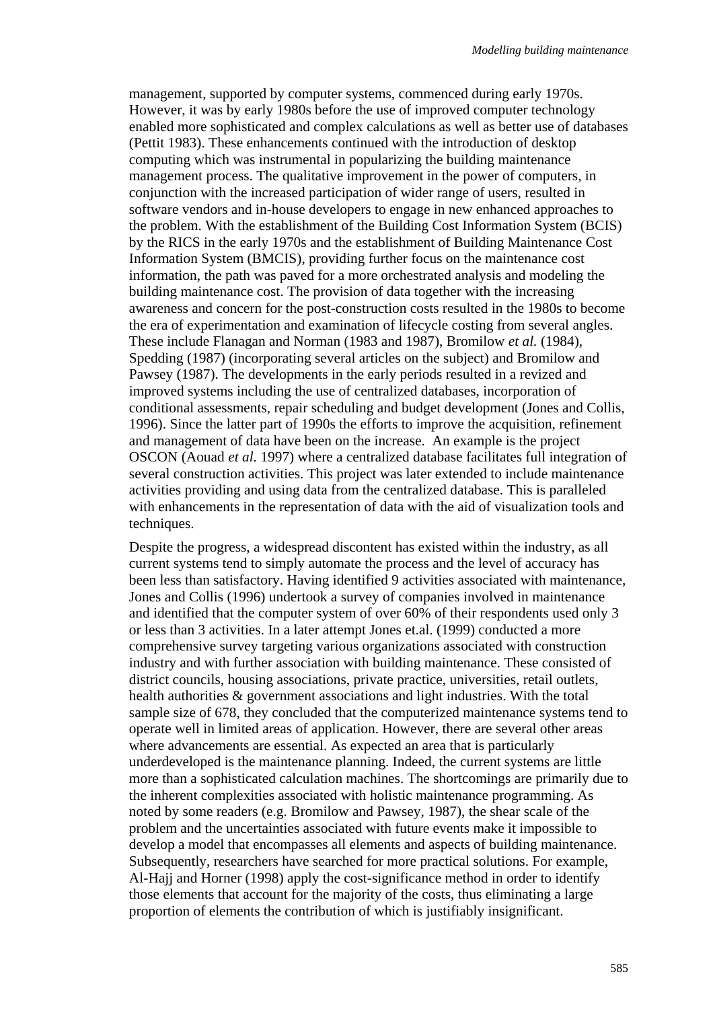management, supported by computer systems, commenced during early 1970s. However, it was by early 1980s before the use of improved computer technology enabled more sophisticated and complex calculations as well as better use of databases (Pettit 1983). These enhancements continued with the introduction of desktop computing which was instrumental in popularizing the building maintenance management process. The qualitative improvement in the power of computers, in conjunction with the increased participation of wider range of users, resulted in software vendors and in-house developers to engage in new enhanced approaches to the problem. With the establishment of the Building Cost Information System (BCIS) by the RICS in the early 1970s and the establishment of Building Maintenance Cost Information System (BMCIS), providing further focus on the maintenance cost information, the path was paved for a more orchestrated analysis and modeling the building maintenance cost. The provision of data together with the increasing awareness and concern for the post-construction costs resulted in the 1980s to become the era of experimentation and examination of lifecycle costing from several angles. These include Flanagan and Norman (1983 and 1987), Bromilow *et al.* (1984), Spedding (1987) (incorporating several articles on the subject) and Bromilow and Pawsey (1987). The developments in the early periods resulted in a revized and improved systems including the use of centralized databases, incorporation of conditional assessments, repair scheduling and budget development (Jones and Collis, 1996). Since the latter part of 1990s the efforts to improve the acquisition, refinement and management of data have been on the increase. An example is the project OSCON (Aouad *et al.* 1997) where a centralized database facilitates full integration of several construction activities. This project was later extended to include maintenance activities providing and using data from the centralized database. This is paralleled with enhancements in the representation of data with the aid of visualization tools and techniques.

Despite the progress, a widespread discontent has existed within the industry, as all current systems tend to simply automate the process and the level of accuracy has been less than satisfactory. Having identified 9 activities associated with maintenance, Jones and Collis (1996) undertook a survey of companies involved in maintenance and identified that the computer system of over 60% of their respondents used only 3 or less than 3 activities. In a later attempt Jones et.al. (1999) conducted a more comprehensive survey targeting various organizations associated with construction industry and with further association with building maintenance. These consisted of district councils, housing associations, private practice, universities, retail outlets, health authorities & government associations and light industries. With the total sample size of 678, they concluded that the computerized maintenance systems tend to operate well in limited areas of application. However, there are several other areas where advancements are essential. As expected an area that is particularly underdeveloped is the maintenance planning. Indeed, the current systems are little more than a sophisticated calculation machines. The shortcomings are primarily due to the inherent complexities associated with holistic maintenance programming. As noted by some readers (e.g. Bromilow and Pawsey, 1987), the shear scale of the problem and the uncertainties associated with future events make it impossible to develop a model that encompasses all elements and aspects of building maintenance. Subsequently, researchers have searched for more practical solutions. For example, Al-Hajj and Horner (1998) apply the cost-significance method in order to identify those elements that account for the majority of the costs, thus eliminating a large proportion of elements the contribution of which is justifiably insignificant.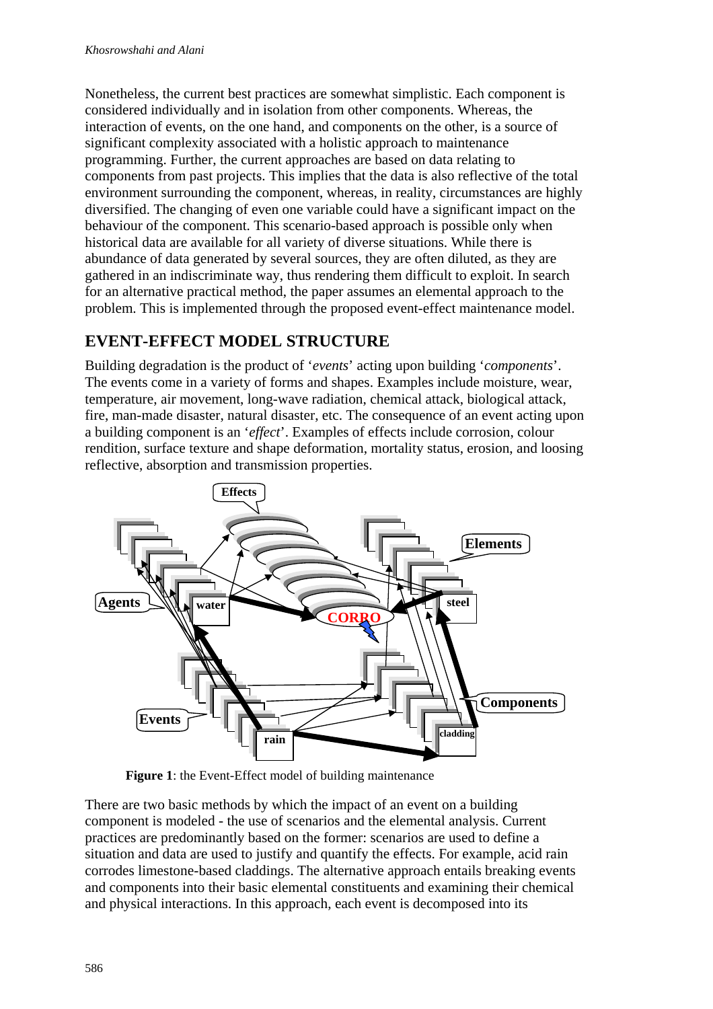Nonetheless, the current best practices are somewhat simplistic. Each component is considered individually and in isolation from other components. Whereas, the interaction of events, on the one hand, and components on the other, is a source of significant complexity associated with a holistic approach to maintenance programming. Further, the current approaches are based on data relating to components from past projects. This implies that the data is also reflective of the total environment surrounding the component, whereas, in reality, circumstances are highly diversified. The changing of even one variable could have a significant impact on the behaviour of the component. This scenario-based approach is possible only when historical data are available for all variety of diverse situations. While there is abundance of data generated by several sources, they are often diluted, as they are gathered in an indiscriminate way, thus rendering them difficult to exploit. In search for an alternative practical method, the paper assumes an elemental approach to the problem. This is implemented through the proposed event-effect maintenance model.

## **EVENT-EFFECT MODEL STRUCTURE**

Building degradation is the product of '*events*' acting upon building '*components*'. The events come in a variety of forms and shapes. Examples include moisture, wear, temperature, air movement, long-wave radiation, chemical attack, biological attack, fire, man-made disaster, natural disaster, etc. The consequence of an event acting upon a building component is an '*effect*'. Examples of effects include corrosion, colour rendition, surface texture and shape deformation, mortality status, erosion, and loosing reflective, absorption and transmission properties.



**Figure 1**: the Event-Effect model of building maintenance

There are two basic methods by which the impact of an event on a building component is modeled - the use of scenarios and the elemental analysis. Current practices are predominantly based on the former: scenarios are used to define a situation and data are used to justify and quantify the effects. For example, acid rain corrodes limestone-based claddings. The alternative approach entails breaking events and components into their basic elemental constituents and examining their chemical and physical interactions. In this approach, each event is decomposed into its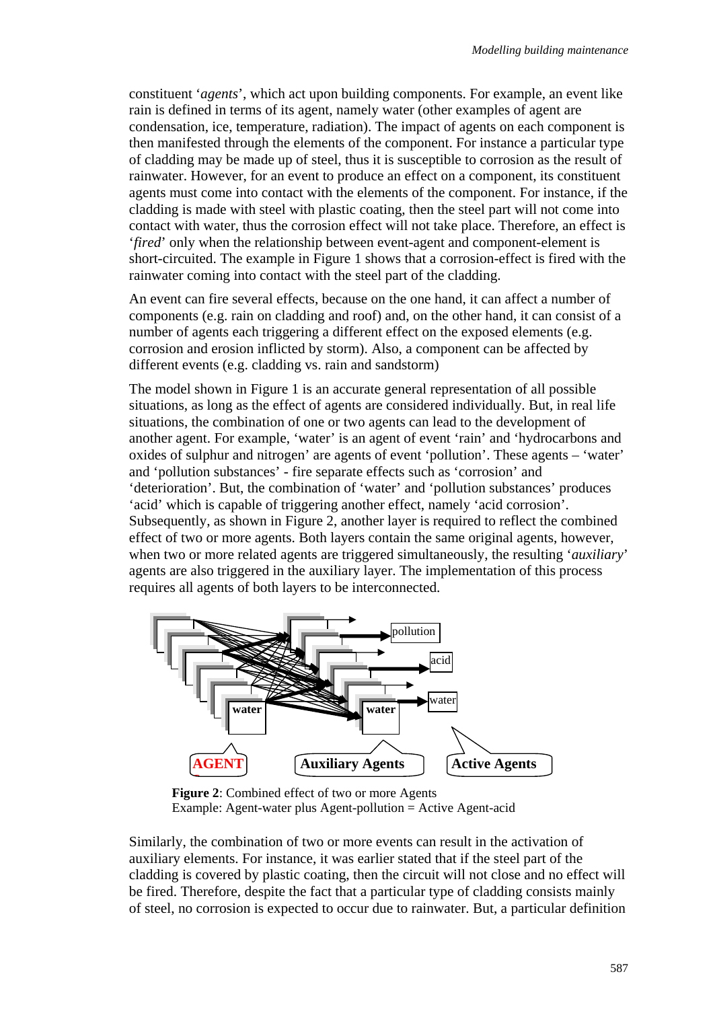constituent '*agents*', which act upon building components. For example, an event like rain is defined in terms of its agent, namely water (other examples of agent are condensation, ice, temperature, radiation). The impact of agents on each component is then manifested through the elements of the component. For instance a particular type of cladding may be made up of steel, thus it is susceptible to corrosion as the result of rainwater. However, for an event to produce an effect on a component, its constituent agents must come into contact with the elements of the component. For instance, if the cladding is made with steel with plastic coating, then the steel part will not come into contact with water, thus the corrosion effect will not take place. Therefore, an effect is '*fired*' only when the relationship between event-agent and component-element is short-circuited. The example in Figure 1 shows that a corrosion-effect is fired with the rainwater coming into contact with the steel part of the cladding.

An event can fire several effects, because on the one hand, it can affect a number of components (e.g. rain on cladding and roof) and, on the other hand, it can consist of a number of agents each triggering a different effect on the exposed elements (e.g. corrosion and erosion inflicted by storm). Also, a component can be affected by different events (e.g. cladding vs. rain and sandstorm)

The model shown in Figure 1 is an accurate general representation of all possible situations, as long as the effect of agents are considered individually. But, in real life situations, the combination of one or two agents can lead to the development of another agent. For example, 'water' is an agent of event 'rain' and 'hydrocarbons and oxides of sulphur and nitrogen' are agents of event 'pollution'. These agents – 'water' and 'pollution substances' - fire separate effects such as 'corrosion' and 'deterioration'. But, the combination of 'water' and 'pollution substances' produces 'acid' which is capable of triggering another effect, namely 'acid corrosion'. Subsequently, as shown in Figure 2, another layer is required to reflect the combined effect of two or more agents. Both layers contain the same original agents, however, when two or more related agents are triggered simultaneously, the resulting '*auxiliary*' agents are also triggered in the auxiliary layer. The implementation of this process requires all agents of both layers to be interconnected.



**Figure 2**: Combined effect of two or more Agents Example: Agent-water plus Agent-pollution = Active Agent-acid

Similarly, the combination of two or more events can result in the activation of auxiliary elements. For instance, it was earlier stated that if the steel part of the cladding is covered by plastic coating, then the circuit will not close and no effect will be fired. Therefore, despite the fact that a particular type of cladding consists mainly of steel, no corrosion is expected to occur due to rainwater. But, a particular definition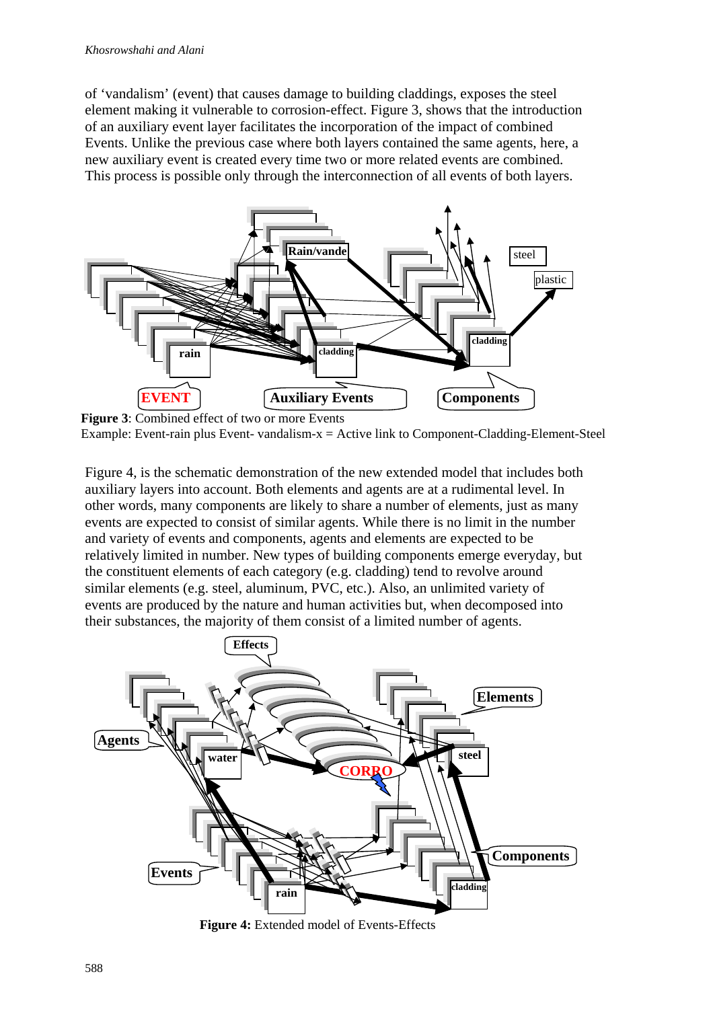of 'vandalism' (event) that causes damage to building claddings, exposes the steel element making it vulnerable to corrosion-effect. Figure 3, shows that the introduction of an auxiliary event layer facilitates the incorporation of the impact of combined Events. Unlike the previous case where both layers contained the same agents, here, a new auxiliary event is created every time two or more related events are combined. This process is possible only through the interconnection of all events of both layers.



**Figure 3**: Combined effect of two or more Events Example: Event-rain plus Event- vandalism-x = Active link to Component-Cladding-Element-Steel

Figure 4, is the schematic demonstration of the new extended model that includes both auxiliary layers into account. Both elements and agents are at a rudimental level. In other words, many components are likely to share a number of elements, just as many events are expected to consist of similar agents. While there is no limit in the number and variety of events and components, agents and elements are expected to be relatively limited in number. New types of building components emerge everyday, but the constituent elements of each category (e.g. cladding) tend to revolve around similar elements (e.g. steel, aluminum, PVC, etc.). Also, an unlimited variety of events are produced by the nature and human activities but, when decomposed into their substances, the majority of them consist of a limited number of agents.



**Figure 4:** Extended model of Events-Effects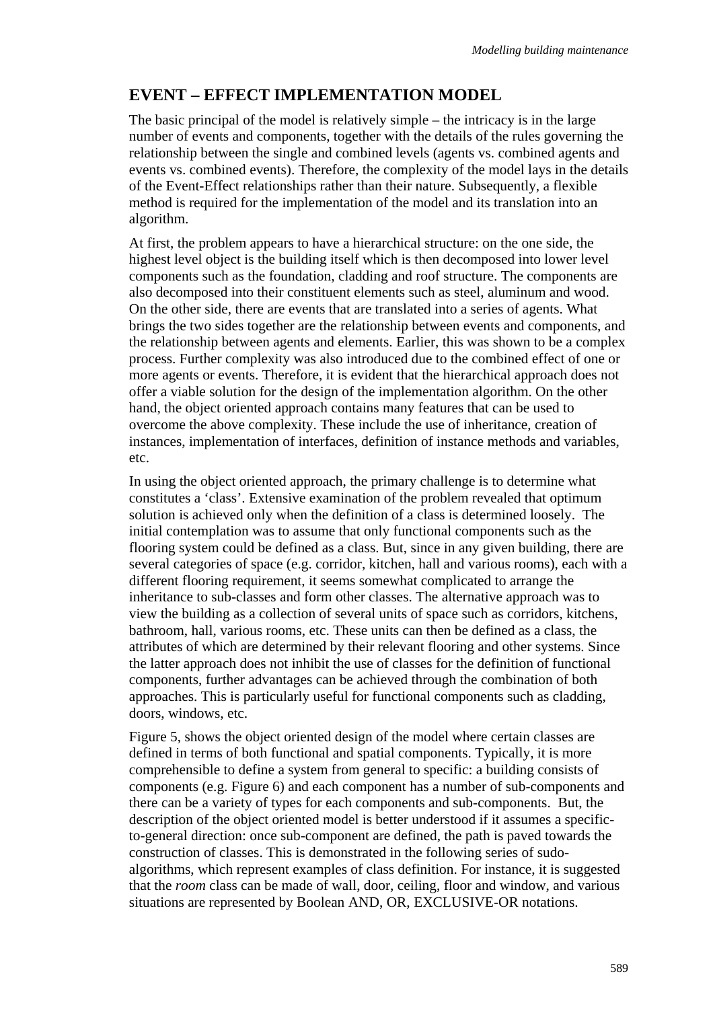### **EVENT – EFFECT IMPLEMENTATION MODEL**

The basic principal of the model is relatively simple – the intricacy is in the large number of events and components, together with the details of the rules governing the relationship between the single and combined levels (agents vs. combined agents and events vs. combined events). Therefore, the complexity of the model lays in the details of the Event-Effect relationships rather than their nature. Subsequently, a flexible method is required for the implementation of the model and its translation into an algorithm.

At first, the problem appears to have a hierarchical structure: on the one side, the highest level object is the building itself which is then decomposed into lower level components such as the foundation, cladding and roof structure. The components are also decomposed into their constituent elements such as steel, aluminum and wood. On the other side, there are events that are translated into a series of agents. What brings the two sides together are the relationship between events and components, and the relationship between agents and elements. Earlier, this was shown to be a complex process. Further complexity was also introduced due to the combined effect of one or more agents or events. Therefore, it is evident that the hierarchical approach does not offer a viable solution for the design of the implementation algorithm. On the other hand, the object oriented approach contains many features that can be used to overcome the above complexity. These include the use of inheritance, creation of instances, implementation of interfaces, definition of instance methods and variables, etc.

In using the object oriented approach, the primary challenge is to determine what constitutes a 'class'. Extensive examination of the problem revealed that optimum solution is achieved only when the definition of a class is determined loosely. The initial contemplation was to assume that only functional components such as the flooring system could be defined as a class. But, since in any given building, there are several categories of space (e.g. corridor, kitchen, hall and various rooms), each with a different flooring requirement, it seems somewhat complicated to arrange the inheritance to sub-classes and form other classes. The alternative approach was to view the building as a collection of several units of space such as corridors, kitchens, bathroom, hall, various rooms, etc. These units can then be defined as a class, the attributes of which are determined by their relevant flooring and other systems. Since the latter approach does not inhibit the use of classes for the definition of functional components, further advantages can be achieved through the combination of both approaches. This is particularly useful for functional components such as cladding, doors, windows, etc.

Figure 5, shows the object oriented design of the model where certain classes are defined in terms of both functional and spatial components. Typically, it is more comprehensible to define a system from general to specific: a building consists of components (e.g. Figure 6) and each component has a number of sub-components and there can be a variety of types for each components and sub-components. But, the description of the object oriented model is better understood if it assumes a specificto-general direction: once sub-component are defined, the path is paved towards the construction of classes. This is demonstrated in the following series of sudoalgorithms, which represent examples of class definition. For instance, it is suggested that the *room* class can be made of wall, door, ceiling, floor and window, and various situations are represented by Boolean AND, OR, EXCLUSIVE-OR notations.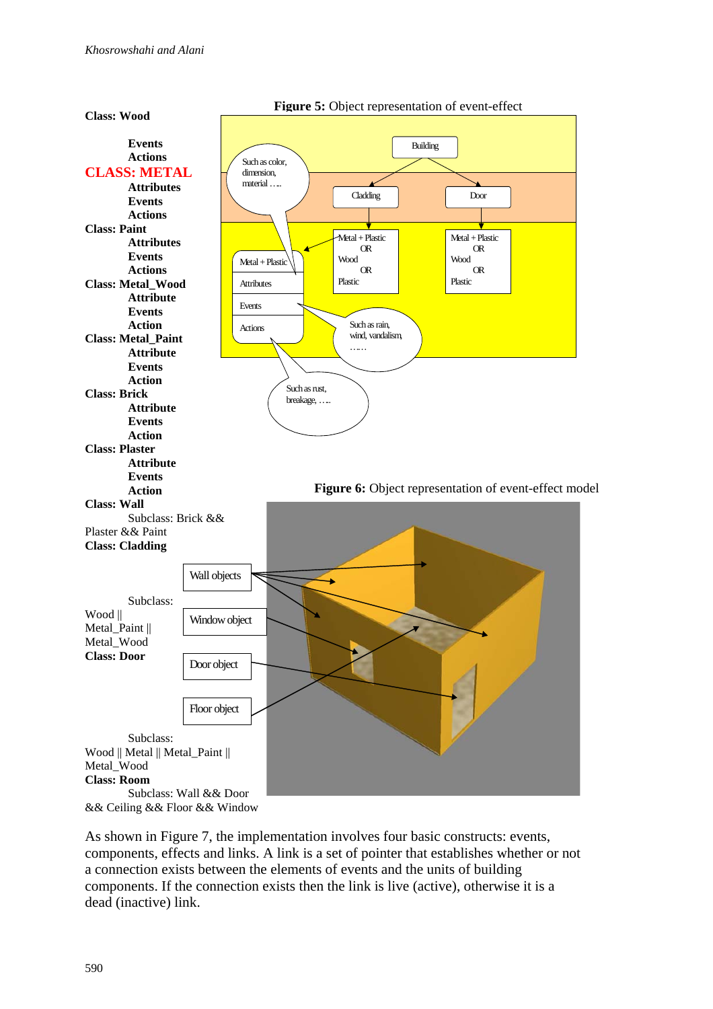

As shown in Figure 7, the implementation involves four basic constructs: events, components, effects and links. A link is a set of pointer that establishes whether or not a connection exists between the elements of events and the units of building components. If the connection exists then the link is live (active), otherwise it is a dead (inactive) link.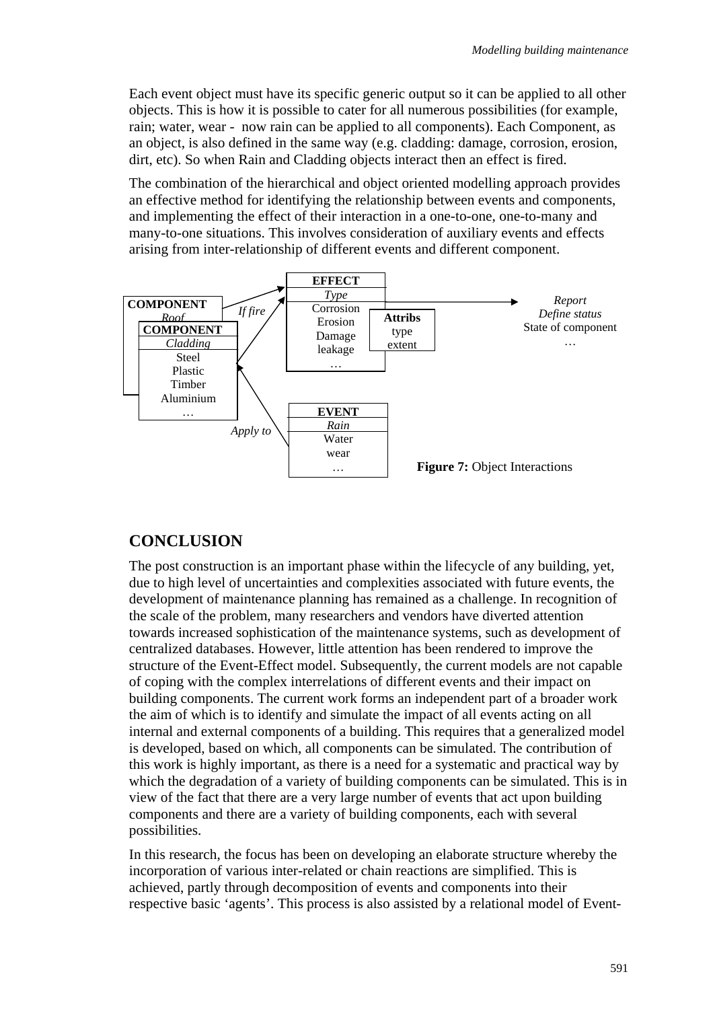Each event object must have its specific generic output so it can be applied to all other objects. This is how it is possible to cater for all numerous possibilities (for example, rain; water, wear - now rain can be applied to all components). Each Component, as an object, is also defined in the same way (e.g. cladding: damage, corrosion, erosion, dirt, etc). So when Rain and Cladding objects interact then an effect is fired.

The combination of the hierarchical and object oriented modelling approach provides an effective method for identifying the relationship between events and components, and implementing the effect of their interaction in a one-to-one, one-to-many and many-to-one situations. This involves consideration of auxiliary events and effects arising from inter-relationship of different events and different component.



## **CONCLUSION**

The post construction is an important phase within the lifecycle of any building, yet, due to high level of uncertainties and complexities associated with future events, the development of maintenance planning has remained as a challenge. In recognition of the scale of the problem, many researchers and vendors have diverted attention towards increased sophistication of the maintenance systems, such as development of centralized databases. However, little attention has been rendered to improve the structure of the Event-Effect model. Subsequently, the current models are not capable of coping with the complex interrelations of different events and their impact on building components. The current work forms an independent part of a broader work the aim of which is to identify and simulate the impact of all events acting on all internal and external components of a building. This requires that a generalized model is developed, based on which, all components can be simulated. The contribution of this work is highly important, as there is a need for a systematic and practical way by which the degradation of a variety of building components can be simulated. This is in view of the fact that there are a very large number of events that act upon building components and there are a variety of building components, each with several possibilities.

In this research, the focus has been on developing an elaborate structure whereby the incorporation of various inter-related or chain reactions are simplified. This is achieved, partly through decomposition of events and components into their respective basic 'agents'. This process is also assisted by a relational model of Event